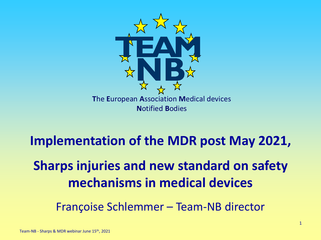

# **Implementation of the MDR post May 2021, Sharps injuries and new standard on safety mechanisms in medical devices**

Françoise Schlemmer – Team-NB director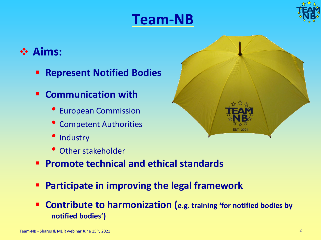## **Team-NB**



### ❖ **Aims:**

- **Represent Notified Bodies**
- **Communication with**
	- European Commission
	- Competent Authorities
	- Industry
	- Other stakeholder
- **Promote technical and ethical standards**
- **Participate in improving the legal framework**
- **Contribute to harmonization (***e.g. training 'for notified bodies by* **notified bodies')**

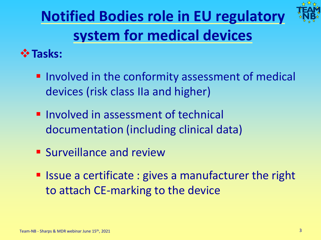# **Notified Bodies role in EU regulatory system for medical devices**



### ❖**Tasks:**

- **.** Involved in the conformity assessment of medical devices (risk class IIa and higher)
- **· Involved in assessment of technical** documentation (including clinical data)
- **E** Surveillance and review
- Issue a certificate : gives a manufacturer the right to attach CE-marking to the device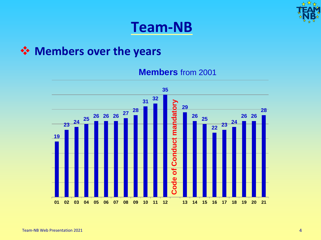

## **Team-NB**

#### ❖ **Members over the years**

**Members** from 2001

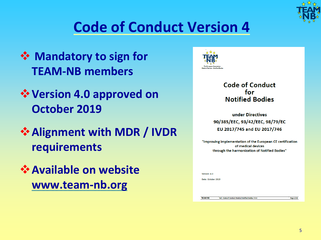

# **Code of Conduct Version 4**

- ❖ **Mandatory to sign for TEAM-NB members**
- ❖**Version 4.0 approved on October 2019**
- ❖**Alignment with MDR / IVDR requirements**
- ❖**Available on website www.team-nb.org**



**TEAM-NB** 

#### **Code of Conduct** for **Notified Bodies**

under Directives 90/385/EEC, 93/42/EEC, 98/79/EC EU 2017/745 and EU 2017/746

"Improving implementation of the European CE certification of medical devices through the harmonization of Notified Bodies"

| Version: 4.0       |  |
|--------------------|--|
| Date: October 2019 |  |
|                    |  |
|                    |  |

Ref.: Code of Conduct Medical Notified Bodies-V4-0

Page 1/28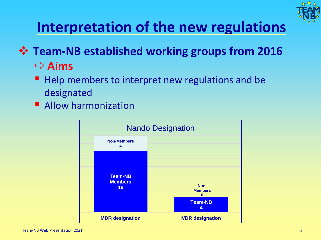

# **Interpretation of the new regulations**

- ❖ **Team-NB established working groups from 2016 Aims**
	- Help members to interpret new regulations and be designated
	- **E** Allow harmonization

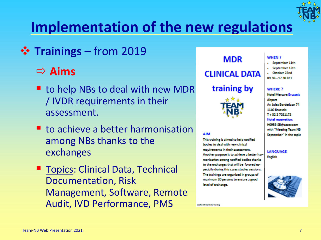

# **Implementation of the new regulations**

❖ **Trainings** – from 2019

### **Aims**

- to help NBs to deal with new MDR / IVDR requirements in their assessment.
- to achieve a better harmonisation among NBs thanks to the exchanges
- Topics: Clinical Data, Technical Documentation, Risk Management, Software, Remote Audit, IVD Performance, PMS



training by



#### **AIM**

This training is aimed to help notified bodies to deal with new clinical requirements in their assessment. Another purpose is to achieve a better harmonisation among notified bodies thanks to the exchanges that will be favored especially during this cases studies sessions. The trainings are organized in groups of maximum 20 persons to ensure a good level of exchange.

**McChina Cata-Salvis** 

#### WHEN?

- · September 11th
- September 12th October 22nd
- 09 30-17 30 CFT

#### **WHERE?**

**Hotel Mercure Brussels** Airport Av. Jules Bordetlaan 74 1140 Brussels T+3227021172 **Hotel reservation:** H0958-SB@accor.com with "Meeting Team NB September" in the topic

**LANGUAGE** English

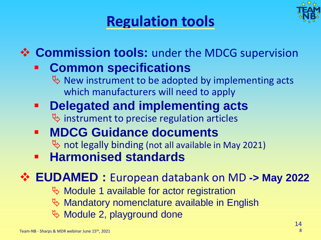# **Regulation tools**



## ❖ **Commission tools:** under the MDCG supervision

## ▪ **Common specifications**

 $\psi$  New instrument to be adopted by implementing acts which manufacturers will need to apply

- **Delegated and implementing acts**  $\psi$  instrument to precise regulation articles
- **MDCG Guidance documents**  $\%$  not legally binding (not all available in May 2021)
- **Harmonised standards**

## ❖ **EUDAMED :** European databank on MD **-> May 2022**

- $\%$  Module 1 available for actor registration
- $\mathbb F$  Mandatory nomenclature available in English
- $\%$  Module 2, playground done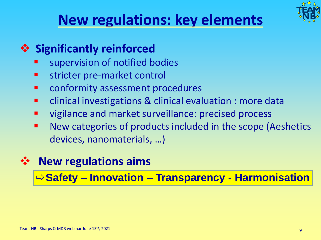

## **New regulations: key elements**

## ❖ **Significantly reinforced**

- supervision of notified bodies
- stricter pre-market control
- conformity assessment procedures
- clinical investigations & clinical evaluation : more data
- vigilance and market surveillance: precised process
- New categories of products included in the scope (Aeshetics devices, nanomaterials, …)

## ❖ **New regulations aims**

**Safety – Innovation – Transparency - Harmonisation**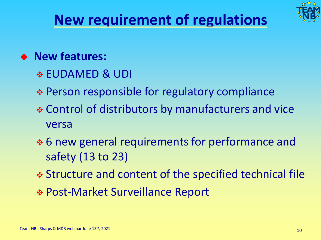

# **New requirement of regulations**

### ◆ **New features:**

- ❖ EUDAMED & UDI
- ❖ Person responsible for regulatory compliance
- ❖ Control of distributors by manufacturers and vice versa
- ❖ 6 new general requirements for performance and safety (13 to 23)
- ❖ Structure and content of the specified technical file
- ❖ Post-Market Surveillance Report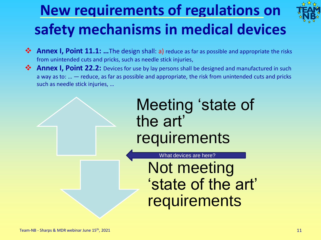# **New requirements of regulations on safety mechanisms in medical devices**



- ❖ **Annex I, Point 11.1: …**The design shall: a) reduce as far as possible and appropriate the risks from unintended cuts and pricks, such as needle stick injuries,
- Annex I, Point 22.2: Devices for use by lay persons shall be designed and manufactured in such a way as to: … — reduce, as far as possible and appropriate, the risk from unintended cuts and pricks such as needle stick injuries, …

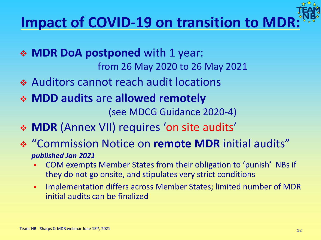# **Impact of COVID-19 on transition to MDR:**

- ❖ **MDR DoA postponed** with 1 year: from 26 May 2020 to 26 May 2021
- ❖ Auditors cannot reach audit locations
- ❖ **MDD audits** are **allowed remotely**  (see MDCG Guidance 2020-4)
- ❖ **MDR** (Annex VII) requires 'on site audits'
- ❖ "Commission Notice on **remote MDR** initial audits" *published Jan 2021*
	- COM exempts Member States from their obligation to 'punish' NBs if they do not go onsite, and stipulates very strict conditions
	- Implementation differs across Member States; limited number of MDR initial audits can be finalized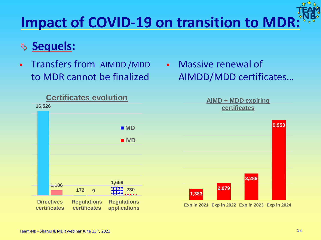# **Impact of COVID-19 on transition to MDR:**

### **Sequels:**

- Transfers from AIMDD /MDD to MDR cannot be finalized
	- **16,526 172 1,659 1,106 9 230 Certificates evolution MD IVD**
	- **Directives certificates Regulations certificates Regulations applications**

▪ Massive renewal of AIMDD/MDD certificates…

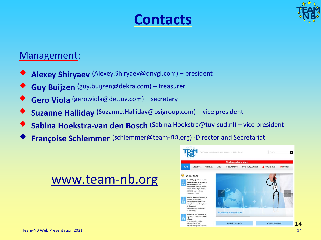## **Contacts**



#### Management:

- ◆ **Alexey Shiryaev** (Alexey.Shiryaev@dnvgl.com) president
- ◆ **Guy Buijzen** (guy.buijzen@dekra.com) treasurer
- Gero Viola (gero.viola@de.tuv.com) secretary
- **Suzanne Halliday** (Suzanne.Halliday@bsigroup.com) vice president
- Sabina Hoekstra-van den Bosch (Sabina.Hoekstra@tuv-sud.nl) vice president
- **Françoise Schlemmer** (schlemmer@team-nb.org) -Director and Secretariat

### www.team-nb.org